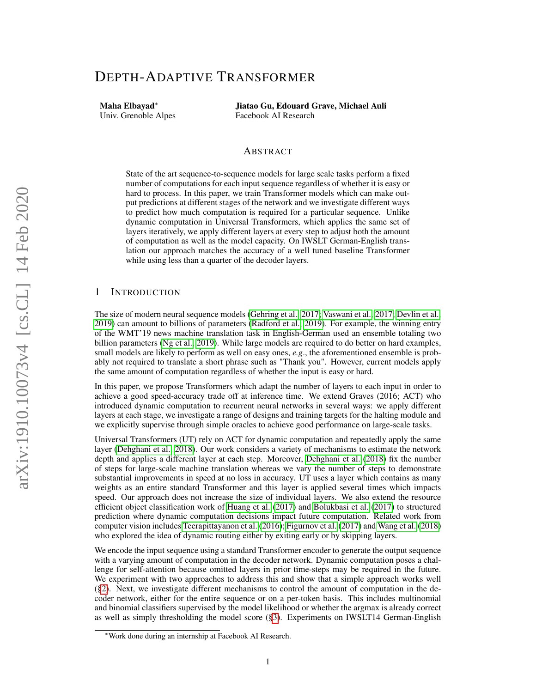# DEPTH-ADAPTIVE TRANSFORMER

Maha Elbayad∗ Univ. Grenoble Alpes

Jiatao Gu, Edouard Grave, Michael Auli Facebook AI Research

## ABSTRACT

State of the art sequence-to-sequence models for large scale tasks perform a fixed number of computations for each input sequence regardless of whether it is easy or hard to process. In this paper, we train Transformer models which can make output predictions at different stages of the network and we investigate different ways to predict how much computation is required for a particular sequence. Unlike dynamic computation in Universal Transformers, which applies the same set of layers iteratively, we apply different layers at every step to adjust both the amount of computation as well as the model capacity. On IWSLT German-English translation our approach matches the accuracy of a well tuned baseline Transformer while using less than a quarter of the decoder layers.

## 1 INTRODUCTION

The size of modern neural sequence models [\(Gehring et al., 2017;](#page-9-0) [Vaswani et al., 2017;](#page-10-0) [Devlin et al.,](#page-9-1) [2019\)](#page-9-1) can amount to billions of parameters [\(Radford et al., 2019\)](#page-10-1). For example, the winning entry of the WMT'19 news machine translation task in English-German used an ensemble totaling two billion parameters [\(Ng et al., 2019\)](#page-10-2). While large models are required to do better on hard examples, small models are likely to perform as well on easy ones, *e.g*., the aforementioned ensemble is probably not required to translate a short phrase such as "Thank you". However, current models apply the same amount of computation regardless of whether the input is easy or hard.

In this paper, we propose Transformers which adapt the number of layers to each input in order to achieve a good speed-accuracy trade off at inference time. We extend Graves (2016; ACT) who introduced dynamic computation to recurrent neural networks in several ways: we apply different layers at each stage, we investigate a range of designs and training targets for the halting module and we explicitly supervise through simple oracles to achieve good performance on large-scale tasks.

Universal Transformers (UT) rely on ACT for dynamic computation and repeatedly apply the same layer [\(Dehghani et al., 2018\)](#page-9-2). Our work considers a variety of mechanisms to estimate the network depth and applies a different layer at each step. Moreover, [Dehghani et al.](#page-9-2) [\(2018\)](#page-9-2) fix the number of steps for large-scale machine translation whereas we vary the number of steps to demonstrate substantial improvements in speed at no loss in accuracy. UT uses a layer which contains as many weights as an entire standard Transformer and this layer is applied several times which impacts speed. Our approach does not increase the size of individual layers. We also extend the resource efficient object classification work of [Huang et al.](#page-10-3) [\(2017\)](#page-10-3) and [Bolukbasi et al.](#page-9-3) [\(2017\)](#page-9-3) to structured prediction where dynamic computation decisions impact future computation. Related work from computer vision includes [Teerapittayanon et al.](#page-10-4) [\(2016\)](#page-10-4); [Figurnov et al.](#page-9-4) [\(2017\)](#page-9-4) and [Wang et al.](#page-10-5) [\(2018\)](#page-10-5) who explored the idea of dynamic routing either by exiting early or by skipping layers.

We encode the input sequence using a standard Transformer encoder to generate the output sequence with a varying amount of computation in the decoder network. Dynamic computation poses a challenge for self-attention because omitted layers in prior time-steps may be required in the future. We experiment with two approaches to address this and show that a simple approach works well ([§2\)](#page-1-0). Next, we investigate different mechanisms to control the amount of computation in the decoder network, either for the entire sequence or on a per-token basis. This includes multinomial and binomial classifiers supervised by the model likelihood or whether the argmax is already correct as well as simply thresholding the model score ([§3\)](#page-2-0). Experiments on IWSLT14 German-English

<sup>∗</sup>Work done during an internship at Facebook AI Research.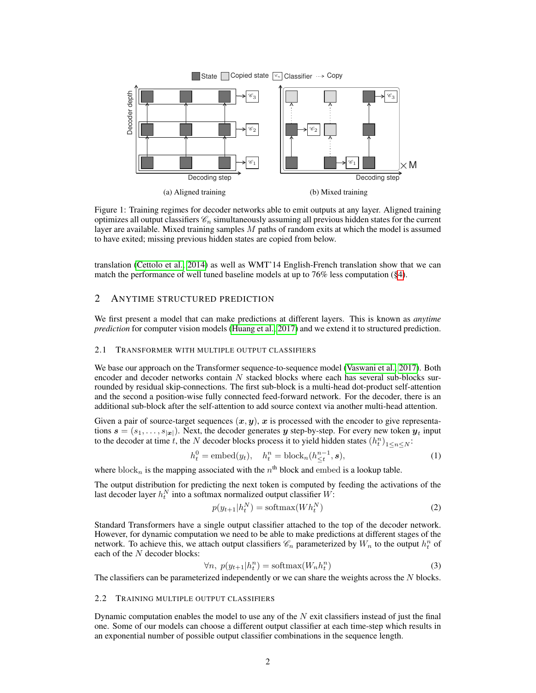<span id="page-1-1"></span>

Figure 1: Training regimes for decoder networks able to emit outputs at any layer. Aligned training optimizes all output classifiers  $\mathcal{C}_n$  simultaneously assuming all previous hidden states for the current layer are available. Mixed training samples  $M$  paths of random exits at which the model is assumed to have exited; missing previous hidden states are copied from below.

translation [\(Cettolo et al., 2014\)](#page-9-5) as well as WMT'14 English-French translation show that we can match the performance of well tuned baseline models at up to 76% less computation ([§4\)](#page-4-0).

## <span id="page-1-0"></span>2 ANYTIME STRUCTURED PREDICTION

We first present a model that can make predictions at different layers. This is known as *anytime prediction* for computer vision models [\(Huang et al., 2017\)](#page-10-3) and we extend it to structured prediction.

#### <span id="page-1-2"></span>2.1 TRANSFORMER WITH MULTIPLE OUTPUT CLASSIFIERS

We base our approach on the Transformer sequence-to-sequence model [\(Vaswani et al., 2017\)](#page-10-0). Both encoder and decoder networks contain  $N$  stacked blocks where each has several sub-blocks surrounded by residual skip-connections. The first sub-block is a multi-head dot-product self-attention and the second a position-wise fully connected feed-forward network. For the decoder, there is an additional sub-block after the self-attention to add source context via another multi-head attention.

Given a pair of source-target sequences  $(x, y)$ , x is processed with the encoder to give representations  $\mathbf{s} = (s_1, \dots, s_{|\mathbf{x}|})$ . Next, the decoder generates y step-by-step. For every new token  $\mathbf{y}_t$  input to the decoder at time t, the N decoder blocks process it to yield hidden states  $(h_t^n)_{1 \le n \le N}$ :

$$
h_t^0 = \text{embed}(y_t), \quad h_t^n = \text{block}_n(h_{\leq t}^{n-1}, \mathbf{s}), \tag{1}
$$

where block<sub>n</sub> is the mapping associated with the  $n^{\text{th}}$  block and embed is a lookup table.

The output distribution for predicting the next token is computed by feeding the activations of the last decoder layer  $h_t^N$  into a softmax normalized output classifier  $W$ :

$$
p(y_{t+1}|h_t^N) = \text{softmax}(Wh_t^N)
$$
\n(2)

Standard Transformers have a single output classifier attached to the top of the decoder network. However, for dynamic computation we need to be able to make predictions at different stages of the network. To achieve this, we attach output classifiers  $\mathcal{C}_n$  parameterized by  $W_n$  to the output  $h_t^n$  of each of the N decoder blocks:

$$
\forall n, \ p(y_{t+1}|h_t^n) = \text{softmax}(W_n h_t^n) \tag{3}
$$

The classifiers can be parameterized independently or we can share the weights across the  $N$  blocks.

### <span id="page-1-3"></span>2.2 TRAINING MULTIPLE OUTPUT CLASSIFIERS

Dynamic computation enables the model to use any of the  $N$  exit classifiers instead of just the final one. Some of our models can choose a different output classifier at each time-step which results in an exponential number of possible output classifier combinations in the sequence length.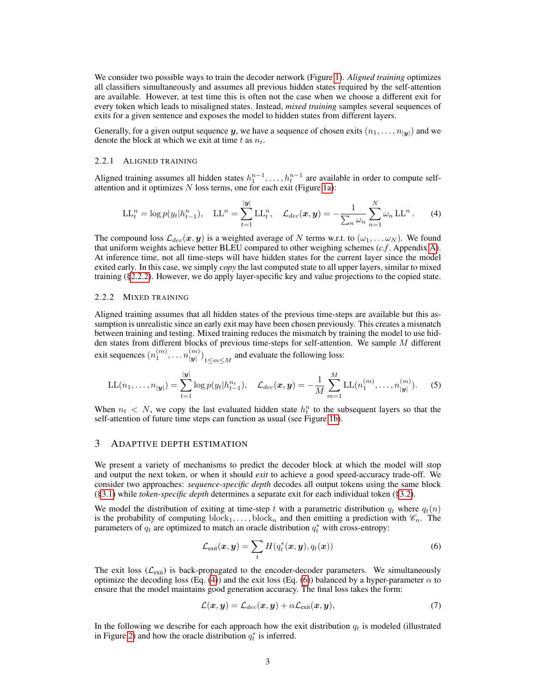We consider two possible ways to train the decoder network (Figure [1\)](#page-1-1). *Aligned training* optimizes all classifiers simultaneously and assumes all previous hidden states required by the self-attention are available. However, at test time this is often not the case when we choose a different exit for every token which leads to misaligned states. Instead, *mixed training* samples several sequences of exits for a given sentence and exposes the model to hidden states from different layers.

Generally, for a given output sequence y, we have a sequence of chosen exits  $(n_1, \ldots, n_{|\mathbf{y}|})$  and we denote the block at which we exit at time t as  $n_t$ .

#### <span id="page-2-5"></span>2.2.1 ALIGNED TRAINING

Aligned training assumes all hidden states  $h_1^{n-1}, \ldots, h_t^{n-1}$  are available in order to compute selfattention and it optimizes  $N$  loss terms, one for each exit (Figure [1a\)](#page-1-1):

<span id="page-2-2"></span>
$$
LL_t^n = \log p(y_t | h_{t-1}^n), \quad LL^n = \sum_{t=1}^{|y|} LL_t^n, \quad \mathcal{L}_{dec}(\bm{x}, \bm{y}) = -\frac{1}{\sum_n \omega_n} \sum_{n=1}^N \omega_n LL^n. \tag{4}
$$

The compound loss  $\mathcal{L}_{dec}(x, y)$  is a weighted average of N terms w.r.t. to  $(\omega_1, \dots \omega_N)$ . We found that uniform weights achieve better BLEU compared to other weighing schemes (*c.f* . Appendix [A\)](#page-11-0). At inference time, not all time-steps will have hidden states for the current layer since the model exited early. In this case, we simply *copy* the last computed state to all upper layers, similar to mixed training ([§2.2.2\)](#page-2-1). However, we do apply layer-specific key and value projections to the copied state.

### <span id="page-2-1"></span>2.2.2 MIXED TRAINING

Aligned training assumes that all hidden states of the previous time-steps are available but this assumption is unrealistic since an early exit may have been chosen previously. This creates a mismatch between training and testing. Mixed training reduces the mismatch by training the model to use hidden states from different blocks of previous time-steps for self-attention. We sample M different exit sequences  $(n_1^{(m)}, \ldots n_{|\boldsymbol{y}|}^{(m)})$  $\binom{m}{|\mathbf{y}|}$ <sub>1 $\leq m \leq M$ </sub> and evaluate the following loss:

$$
LL(n_1, ..., n_{|\mathbf{y}|}) = \sum_{t=1}^{|\mathbf{y}|} \log p(y_t | h_{t-1}^{n_t}), \quad \mathcal{L}_{dec}(\mathbf{x}, \mathbf{y}) = -\frac{1}{M} \sum_{m=1}^{M} LL(n_1^{(m)}, ..., n_{|\mathbf{y}|}^{(m)}).
$$
 (5)

When  $n_t$  < N, we copy the last evaluated hidden state  $h_t^n$  to the subsequent layers so that the self-attention of future time steps can function as usual (see Figure [1b\)](#page-1-1).

## <span id="page-2-0"></span>3 ADAPTIVE DEPTH ESTIMATION

We present a variety of mechanisms to predict the decoder block at which the model will stop and output the next token, or when it should *exit* to achieve a good speed-accuracy trade-off. We consider two approaches: *sequence-specific depth* decodes all output tokens using the same block ([§3.1\)](#page-3-0) while *token-specific depth* determines a separate exit for each individual token ([§3.2\)](#page-3-1).

We model the distribution of exiting at time-step t with a parametric distribution  $q_t$  where  $q_t(n)$ is the probability of computing block<sub>1</sub>, ..., block<sub>n</sub> and then emitting a prediction with  $\mathscr{C}_n$ . The parameters of  $q_t$  are optimized to match an oracle distribution  $q_t^*$  with cross-entropy:

<span id="page-2-3"></span>
$$
\mathcal{L}_{\text{exit}}(\boldsymbol{x}, \boldsymbol{y}) = \sum_{t} H(q_t^*(\boldsymbol{x}, \boldsymbol{y}), q_t(\boldsymbol{x})) \tag{6}
$$

The exit loss ( $\mathcal{L}_{exit}$ ) is back-propagated to the encoder-decoder parameters. We simultaneously optimize the decoding loss (Eq. [\(4\)](#page-2-2)) and the exit loss (Eq. [\(6\)](#page-2-3)) balanced by a hyper-parameter  $\alpha$  to ensure that the model maintains good generation accuracy. The final loss takes the form:

<span id="page-2-4"></span>
$$
\mathcal{L}(\boldsymbol{x}, \boldsymbol{y}) = \mathcal{L}_{dec}(\boldsymbol{x}, \boldsymbol{y}) + \alpha \mathcal{L}_{exit}(\boldsymbol{x}, \boldsymbol{y}), \qquad (7)
$$

In the following we describe for each approach how the exit distribution  $q_t$  is modeled (illustrated in Figure [2\)](#page-3-2) and how the oracle distribution  $q_t^*$  is inferred.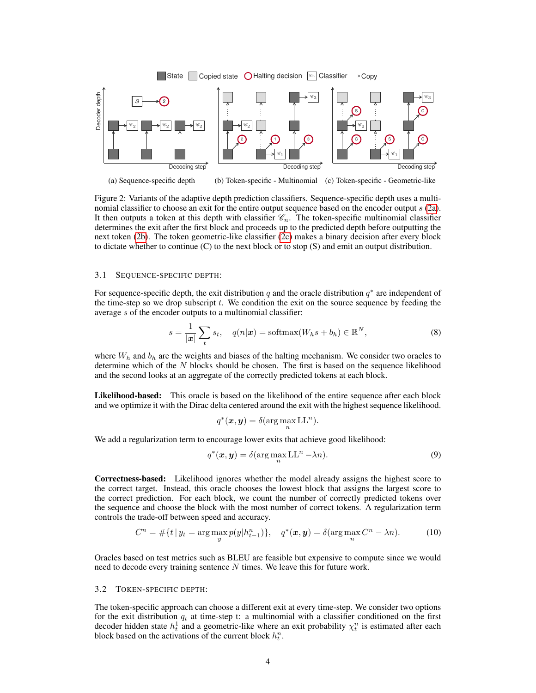<span id="page-3-2"></span>

Figure 2: Variants of the adaptive depth prediction classifiers. Sequence-specific depth uses a multi-nomial classifier to choose an exit for the entire output sequence based on the encoder output s [\(2a\)](#page-3-2). It then outputs a token at this depth with classifier  $\mathcal{C}_n$ . The token-specific multinomial classifier determines the exit after the first block and proceeds up to the predicted depth before outputting the next token [\(2b\)](#page-3-2). The token geometric-like classifier [\(2c\)](#page-3-2) makes a binary decision after every block to dictate whether to continue (C) to the next block or to stop (S) and emit an output distribution.

## <span id="page-3-0"></span>3.1 SEQUENCE-SPECIFIC DEPTH:

For sequence-specific depth, the exit distribution q and the oracle distribution  $q^*$  are independent of the time-step so we drop subscript  $t$ . We condition the exit on the source sequence by feeding the average s of the encoder outputs to a multinomial classifier:

$$
s = \frac{1}{|\mathbf{x}|} \sum_{t} s_t, \quad q(n|\mathbf{x}) = \text{softmax}(W_h s + b_h) \in \mathbb{R}^N,
$$
\n
$$
(8)
$$

where  $W_h$  and  $b_h$  are the weights and biases of the halting mechanism. We consider two oracles to determine which of the  $N$  blocks should be chosen. The first is based on the sequence likelihood and the second looks at an aggregate of the correctly predicted tokens at each block.

Likelihood-based: This oracle is based on the likelihood of the entire sequence after each block and we optimize it with the Dirac delta centered around the exit with the highest sequence likelihood.

<span id="page-3-4"></span><span id="page-3-3"></span>
$$
q^*(\boldsymbol{x},\boldsymbol{y})=\delta(\arg\max_n\mathrm{LL}^n).
$$

We add a regularization term to encourage lower exits that achieve good likelihood:

$$
q^*(\boldsymbol{x}, \boldsymbol{y}) = \delta(\arg\max_n \mathrm{LL}^n - \lambda n). \tag{9}
$$

Correctness-based: Likelihood ignores whether the model already assigns the highest score to the correct target. Instead, this oracle chooses the lowest block that assigns the largest score to the correct prediction. For each block, we count the number of correctly predicted tokens over the sequence and choose the block with the most number of correct tokens. A regularization term controls the trade-off between speed and accuracy.

$$
C^{n} = \# \{ t \, | \, y_{t} = \arg \max_{y} p(y | h_{t-1}^{n}) \}, \quad q^{*}(x, y) = \delta(\arg \max_{n} C^{n} - \lambda n). \tag{10}
$$

Oracles based on test metrics such as BLEU are feasible but expensive to compute since we would need to decode every training sentence  $N$  times. We leave this for future work.

#### <span id="page-3-1"></span>3.2 TOKEN-SPECIFIC DEPTH:

The token-specific approach can choose a different exit at every time-step. We consider two options for the exit distribution  $q_t$  at time-step t: a multinomial with a classifier conditioned on the first decoder hidden state  $h_t^1$  and a geometric-like where an exit probability  $\chi_t^n$  is estimated after each block based on the activations of the current block  $h_t^n$ .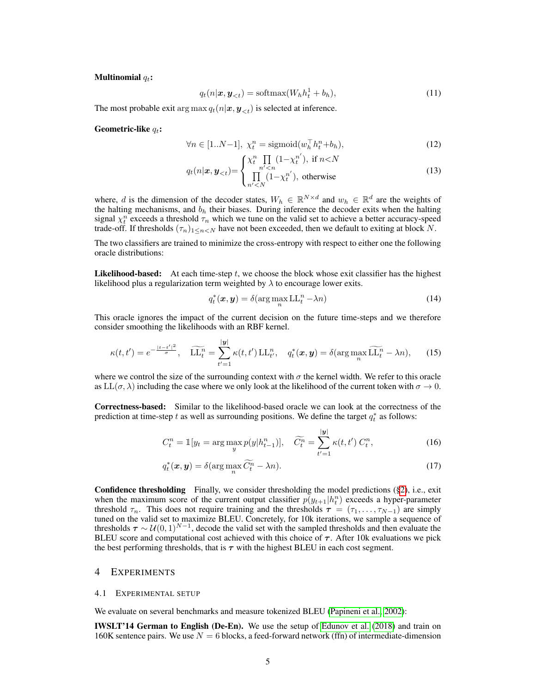#### Multinomial  $q_t$ :

$$
q_t(n|\boldsymbol{x}, \boldsymbol{y}_{< t}) = \text{softmax}(W_h h_t^1 + b_h),\tag{11}
$$

The most probable exit arg max  $q_t(n|\mathbf{x}, \mathbf{y}_{\leq t})$  is selected at inference.

Geometric-like  $q_t$ :

$$
\forall n \in [1..N-1], \ \chi_t^n = \text{sigmoid}(w_h^\top h_t^n + b_h),\tag{12}
$$

$$
q_t(n|\boldsymbol{x}, \boldsymbol{y}_{< t}) = \begin{cases} \chi_t^n \prod_{n' < n} (1 - \chi_t^{n'}) & \text{if } n < N \\ \prod_{n' < N} (1 - \chi_t^{n'}) & \text{otherwise} \end{cases} \tag{13}
$$

where, d is the dimension of the decoder states,  $W_h \in \mathbb{R}^{N \times d}$  and  $w_h \in \mathbb{R}^d$  are the weights of the halting mechanisms, and  $b_h$  their biases. During inference the decoder exits when the halting signal  $\chi_t^n$  exceeds a threshold  $\tau_n$  which we tune on the valid set to achieve a better accuracy-speed trade-off. If thresholds  $(\tau_n)_{1 \leq n \leq N}$  have not been exceeded, then we default to exiting at block N.

The two classifiers are trained to minimize the cross-entropy with respect to either one the following oracle distributions:

**Likelihood-based:** At each time-step  $t$ , we choose the block whose exit classifier has the highest likelihood plus a regularization term weighted by  $\lambda$  to encourage lower exits.

<span id="page-4-1"></span>
$$
q_t^*(\boldsymbol{x}, \boldsymbol{y}) = \delta(\arg\max_n \mathrm{LL}_t^n - \lambda n)
$$
 (14)

This oracle ignores the impact of the current decision on the future time-steps and we therefore consider smoothing the likelihoods with an RBF kernel.

$$
\kappa(t,t') = e^{-\frac{|t-t'|^2}{\sigma}}, \quad \widetilde{\text{LL}}_t^n = \sum_{t'=1}^{|y|} \kappa(t,t') \text{ LL}_{t'}^n, \quad q_t^*(\boldsymbol{x}, \boldsymbol{y}) = \delta(\arg\max_n \widetilde{\text{LL}}_t^n - \lambda n), \tag{15}
$$

where we control the size of the surrounding context with  $\sigma$  the kernel width. We refer to this oracle as  $LL(\sigma, \lambda)$  including the case where we only look at the likelihood of the current token with  $\sigma \to 0$ .

Correctness-based: Similar to the likelihood-based oracle we can look at the correctness of the prediction at time-step t as well as surrounding positions. We define the target  $q_t^*$  as follows:

$$
C_t^n = \mathbb{1}[y_t = \arg\max_{y} p(y|h_{t-1}^n)], \quad \widetilde{C_t^n} = \sum_{t'=1}^{|y|} \kappa(t, t') C_t^n,
$$
\n(16)

$$
q_t^*(\boldsymbol{x}, \boldsymbol{y}) = \delta(\arg\max_n \widetilde{C}_t^n - \lambda n). \tag{17}
$$

Confidence thresholding Finally, we consider thresholding the model predictions ([§2\)](#page-1-0), i.e., exit when the maximum score of the current output classifier  $p(y_{t+1}|h_t^n)$  exceeds a hyper-parameter threshold  $\tau_n$ . This does not require training and the thresholds  $\tau = (\tau_1, \ldots, \tau_{N-1})$  are simply tuned on the valid set to maximize BLEU. Concretely, for 10k iterations, we sample a sequence of thresholds  $\tau \sim \mathcal{U}(0,1)^{N-1}$ , decode the valid set with the sampled thresholds and then evaluate the BLEU score and computational cost achieved with this choice of  $\tau$ . After 10k evaluations we pick the best performing thresholds, that is  $\tau$  with the highest BLEU in each cost segment.

#### <span id="page-4-0"></span>4 EXPERIMENTS

#### <span id="page-4-2"></span>4.1 EXPERIMENTAL SETUP

We evaluate on several benchmarks and measure tokenized BLEU [\(Papineni et al., 2002\)](#page-10-6):

IWSLT'14 German to English (De-En). We use the setup of [Edunov et al.](#page-9-6) [\(2018\)](#page-9-6) and train on 160K sentence pairs. We use  $N = 6$  blocks, a feed-forward network (ffn) of intermediate-dimension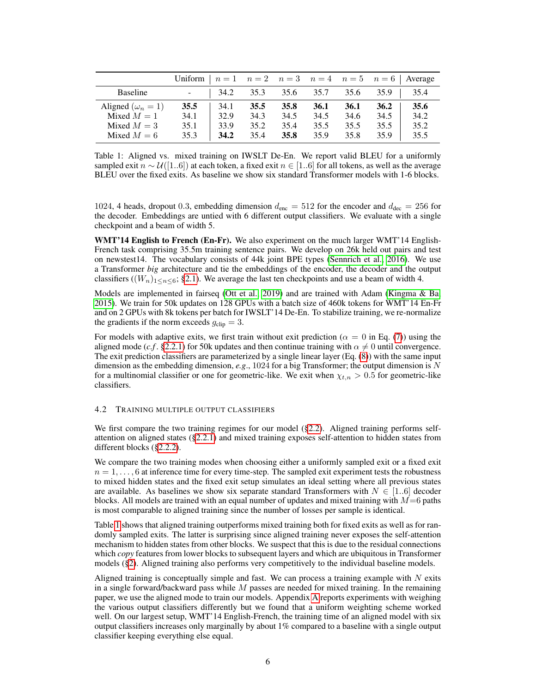<span id="page-5-0"></span>

|                          | Uniform $n = 1$ $n = 2$ $n = 3$ $n = 4$ $n = 5$ $n = 6$ Average |          |      |      |      |      |      |      |
|--------------------------|-----------------------------------------------------------------|----------|------|------|------|------|------|------|
| Baseline                 |                                                                 | $-$ 34.2 | 35.3 | 35.6 | 35.7 | 35.6 | 35.9 | 35.4 |
| Aligned $(\omega_n = 1)$ | 35.5                                                            | 34.1     | 35.5 | 35.8 | 36.1 | 36.1 | 36.2 | 35.6 |
| Mixed $M = 1$            | 34.1                                                            | 32.9     | 34.3 | 34.5 | 34.5 | 34.6 | 34.5 | 34.2 |
| Mixed $M=3$              | 35.1                                                            | 33.9     | 35.2 | 35.4 | 35.5 | 35.5 | 35.5 | 35.2 |
| Mixed $M = 6$            | 35.3                                                            | 34.2     | 35.4 | 35.8 | 35.9 | 35.8 | 35.9 | 35.5 |

Table 1: Aligned vs. mixed training on IWSLT De-En. We report valid BLEU for a uniformly sampled exit  $n \sim \mathcal{U}([1..6])$  at each token, a fixed exit  $n \in [1..6]$  for all tokens, as well as the average BLEU over the fixed exits. As baseline we show six standard Transformer models with 1-6 blocks.

1024, 4 heads, dropout 0.3, embedding dimension  $d_{\text{enc}} = 512$  for the encoder and  $d_{\text{dec}} = 256$  for the decoder. Embeddings are untied with 6 different output classifiers. We evaluate with a single checkpoint and a beam of width 5.

WMT'14 English to French (En-Fr). We also experiment on the much larger WMT'14 English-French task comprising 35.5m training sentence pairs. We develop on 26k held out pairs and test on newstest14. The vocabulary consists of 44k joint BPE types [\(Sennrich et al., 2016\)](#page-10-7). We use a Transformer *big* architecture and tie the embeddings of the encoder, the decoder and the output classifiers ( $(W_n)_{1 \leq n \leq 6}$ ; [§2.1\)](#page-1-2). We average the last ten checkpoints and use a beam of width 4.

Models are implemented in fairseq [\(Ott et al., 2019\)](#page-10-8) and are trained with Adam [\(Kingma & Ba,](#page-10-9) [2015\)](#page-10-9). We train for 50k updates on 128 GPUs with a batch size of 460k tokens for WMT'14 En-Fr and on 2 GPUs with 8k tokens per batch for IWSLT'14 De-En. To stabilize training, we re-normalize the gradients if the norm exceeds  $g_{\text{clip}} = 3$ .

For models with adaptive exits, we first train without exit prediction ( $\alpha = 0$  in Eq. [\(7\)](#page-2-4)) using the aligned mode (*c.f.* [§2.2.1\)](#page-2-5) for 50k updates and then continue training with  $\alpha \neq 0$  until convergence. The exit prediction classifiers are parameterized by a single linear layer (Eq. [\(8\)](#page-3-3)) with the same input dimension as the embedding dimension, *e.g*., 1024 for a big Transformer; the output dimension is N for a multinomial classifier or one for geometric-like. We exit when  $\chi_{t,n} > 0.5$  for geometric-like classifiers.

## 4.2 TRAINING MULTIPLE OUTPUT CLASSIFIERS

We first compare the two training regimes for our model ([§2.2\)](#page-1-3). Aligned training performs selfattention on aligned states ([§2.2.1\)](#page-2-5) and mixed training exposes self-attention to hidden states from different blocks ([§2.2.2\)](#page-2-1).

We compare the two training modes when choosing either a uniformly sampled exit or a fixed exit  $n = 1, \ldots, 6$  at inference time for every time-step. The sampled exit experiment tests the robustness to mixed hidden states and the fixed exit setup simulates an ideal setting where all previous states are available. As baselines we show six separate standard Transformers with  $N \in [1..6]$  decoder blocks. All models are trained with an equal number of updates and mixed training with  $M=6$  paths is most comparable to aligned training since the number of losses per sample is identical.

Table [1](#page-5-0) shows that aligned training outperforms mixed training both for fixed exits as well as for randomly sampled exits. The latter is surprising since aligned training never exposes the self-attention mechanism to hidden states from other blocks. We suspect that this is due to the residual connections which *copy* features from lower blocks to subsequent layers and which are ubiquitous in Transformer models ([§2\)](#page-1-0). Aligned training also performs very competitively to the individual baseline models.

Aligned training is conceptually simple and fast. We can process a training example with  $N$  exits in a single forward/backward pass while  $M$  passes are needed for mixed training. In the remaining paper, we use the aligned mode to train our models. Appendix [A](#page-11-0) reports experiments with weighing the various output classifiers differently but we found that a uniform weighting scheme worked well. On our largest setup, WMT'14 English-French, the training time of an aligned model with six output classifiers increases only marginally by about 1% compared to a baseline with a single output classifier keeping everything else equal.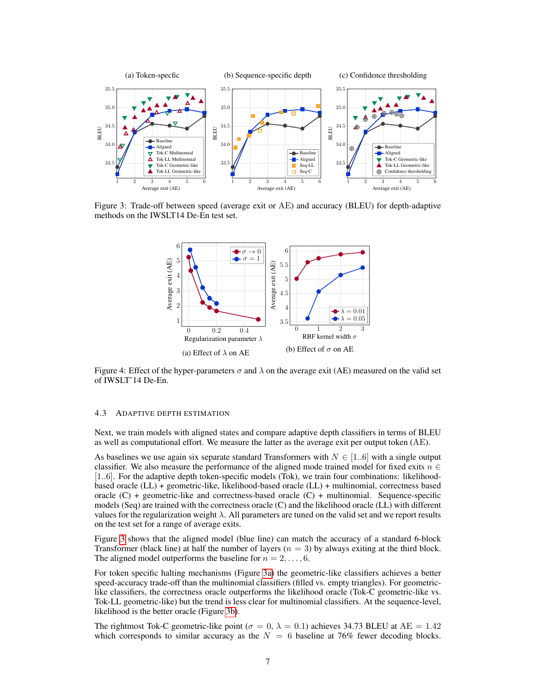<span id="page-6-0"></span>

<span id="page-6-1"></span>Figure 3: Trade-off between speed (average exit or AE) and accuracy (BLEU) for depth-adaptive methods on the IWSLT14 De-En test set.



Figure 4: Effect of the hyper-parameters  $\sigma$  and  $\lambda$  on the average exit (AE) measured on the valid set of IWSLT'14 De-En.

### 4.3 ADAPTIVE DEPTH ESTIMATION

Next, we train models with aligned states and compare adaptive depth classifiers in terms of BLEU as well as computational effort. We measure the latter as the average exit per output token (AE).

As baselines we use again six separate standard Transformers with  $N \in [1..6]$  with a single output classifier. We also measure the performance of the aligned mode trained model for fixed exits  $n \in$ [1..6]. For the adaptive depth token-specific models (Tok), we train four combinations: likelihoodbased oracle (LL) + geometric-like, likelihood-based oracle (LL) + multinomial, correctness based oracle  $(C)$  + geometric-like and correctness-based oracle  $(C)$  + multinomial. Sequence-specific models (Seq) are trained with the correctness oracle (C) and the likelihood oracle (LL) with different values for the regularization weight  $\lambda$ . All parameters are tuned on the valid set and we report results on the test set for a range of average exits.

Figure [3](#page-6-0) shows that the aligned model (blue line) can match the accuracy of a standard 6-block Transformer (black line) at half the number of layers  $(n = 3)$  by always exiting at the third block. The aligned model outperforms the baseline for  $n = 2, \ldots, 6$ .

For token specific halting mechanisms (Figure [3a\)](#page-6-0) the geometric-like classifiers achieves a better speed-accuracy trade-off than the multinomial classifiers (filled vs. empty triangles). For geometriclike classifiers, the correctness oracle outperforms the likelihood oracle (Tok-C geometric-like vs. Tok-LL geometric-like) but the trend is less clear for multinomial classifiers. At the sequence-level, likelihood is the better oracle (Figure [3b\)](#page-6-0).

The rightmost Tok-C geometric-like point ( $\sigma = 0$ ,  $\lambda = 0.1$ ) achieves 34.73 BLEU at AE = 1.42 which corresponds to similar accuracy as the  $N = 6$  baseline at 76% fewer decoding blocks.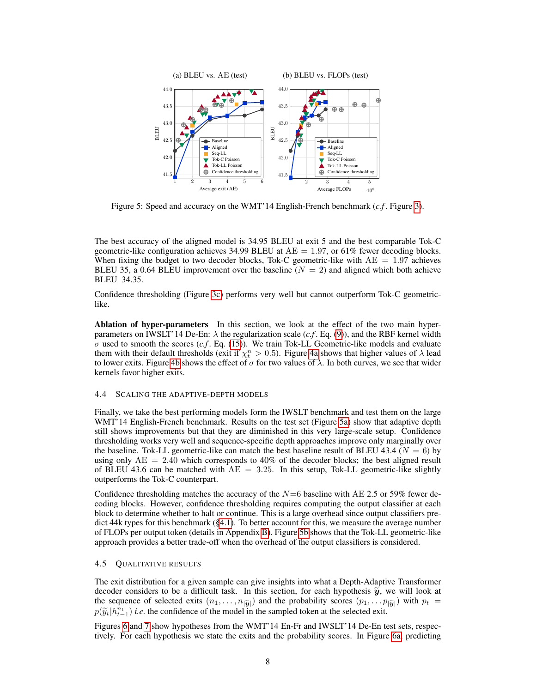<span id="page-7-0"></span>

Figure 5: Speed and accuracy on the WMT'14 English-French benchmark (*c.f* . Figure [3\)](#page-6-0).

The best accuracy of the aligned model is 34.95 BLEU at exit 5 and the best comparable Tok-C geometric-like configuration achieves 34.99 BLEU at  $AE = 1.97$ , or 61% fewer decoding blocks. When fixing the budget to two decoder blocks, Tok-C geometric-like with  $AE = 1.97$  achieves BLEU 35, a 0.64 BLEU improvement over the baseline  $(N = 2)$  and aligned which both achieve BLEU 34.35.

Confidence thresholding (Figure [3c\)](#page-6-0) performs very well but cannot outperform Tok-C geometriclike.

Ablation of hyper-parameters In this section, we look at the effect of the two main hyperparameters on IWSLT'14 De-En:  $\lambda$  the regularization scale (*c.f.* Eq. [\(9\)](#page-3-4)), and the RBF kernel width  $\sigma$  used to smooth the scores  $(c.f.$  Eq. [\(15\)](#page-4-1)). We train Tok-LL Geometric-like models and evaluate them with their default thresholds (exit if  $\chi_t^n > 0.5$ ). Figure [4a](#page-6-1) shows that higher values of  $\lambda$  lead to lower exits. Figure [4b](#page-6-1) shows the effect of  $\sigma$  for two values of  $\lambda$ . In both curves, we see that wider kernels favor higher exits.

### 4.4 SCALING THE ADAPTIVE-DEPTH MODELS

Finally, we take the best performing models form the IWSLT benchmark and test them on the large WMT'14 English-French benchmark. Results on the test set (Figure [5a\)](#page-7-0) show that adaptive depth still shows improvements but that they are diminished in this very large-scale setup. Confidence thresholding works very well and sequence-specific depth approaches improve only marginally over the baseline. Tok-LL geometric-like can match the best baseline result of BLEU 43.4 ( $N = 6$ ) by using only  $AE = 2.40$  which corresponds to 40% of the decoder blocks; the best aligned result of BLEU 43.6 can be matched with  $AE = 3.25$ . In this setup, Tok-LL geometric-like slightly outperforms the Tok-C counterpart.

Confidence thresholding matches the accuracy of the  $N=6$  baseline with AE 2.5 or 59% fewer decoding blocks. However, confidence thresholding requires computing the output classifier at each block to determine whether to halt or continue. This is a large overhead since output classifiers predict 44k types for this benchmark ([§4.1\)](#page-4-2). To better account for this, we measure the average number of FLOPs per output token (details in Appendix [B\)](#page-13-0). Figure [5b](#page-7-0) shows that the Tok-LL geometric-like approach provides a better trade-off when the overhead of the output classifiers is considered.

### 4.5 QUALITATIVE RESULTS

The exit distribution for a given sample can give insights into what a Depth-Adaptive Transformer decoder considers to be a difficult task. In this section, for each hypothesis  $\tilde{y}$ , we will look at the sequence of selected exits  $(n_1, \ldots, n_{|\tilde{y}|})$  and the probability scores  $(p_1, \ldots p_{|\tilde{y}|})$  with  $p_t =$  $p(\widetilde{y}_t|h_{t-1}^{n_t})$  *i.e.* the confidence of the model in the sampled token at the selected exit.

Figures [6](#page-8-0) and [7](#page-8-1) show hypotheses from the WMT'14 En-Fr and IWSLT'14 De-En test sets, respectively. For each hypothesis we state the exits and the probability scores. In Figure [6a,](#page-8-0) predicting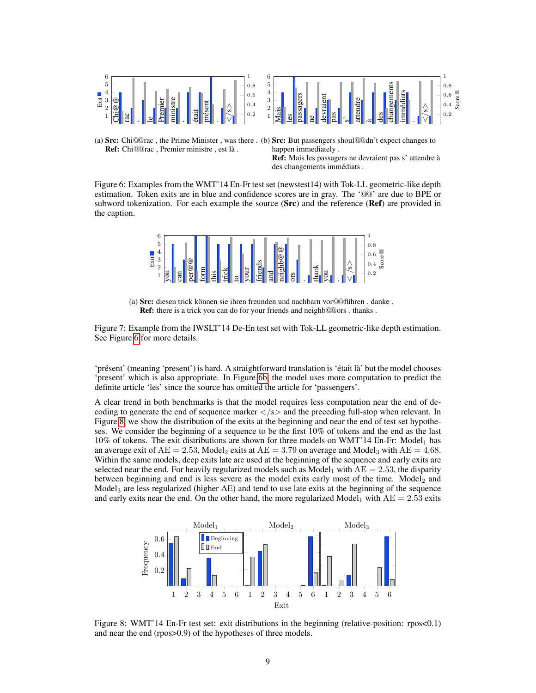<span id="page-8-0"></span>

(a) Src: Chi@@rac, the Prime Minister, was there. (b) Src: But passengers shoul@@dn't expect changes to Ref: Chi@@rac , Premier ministre , est là . happen immediately .

Ref: Mais les passagers ne devraient pas s' attendre à des changements immédiats .

Figure 6: Examples from the WMT'14 En-Fr test set (newstest14) with Tok-LL geometric-like depth estimation. Token exits are in blue and confidence scores are in gray. The '@@' are due to BPE or subword tokenization. For each example the source  $(Src)$  and the reference  $(Ref)$  are provided in the caption.

<span id="page-8-1"></span>

(a) Src: diesen trick können sie ihren freunden und nachbarn vor@@führen . danke . Ref: there is a trick you can do for your friends and neighb@@ors . thanks .

Figure 7: Example from the IWSLT'14 De-En test set with Tok-LL geometric-like depth estimation. See Figure [6](#page-8-0) for more details.

'présent' (meaning 'present') is hard. A straightforward translation is 'était là' but the model chooses 'present' which is also appropriate. In Figure [6b,](#page-8-0) the model uses more computation to predict the definite article 'les' since the source has omitted the article for 'passengers'.

A clear trend in both benchmarks is that the model requires less computation near the end of decoding to generate the end of sequence marker  $\langle$ /s $>$  and the preceding full-stop when relevant. In Figure [8,](#page-8-2) we show the distribution of the exits at the beginning and near the end of test set hypotheses. We consider the beginning of a sequence to be the first 10% of tokens and the end as the last  $10\%$  of tokens. The exit distributions are shown for three models on WMT'14 En-Fr: Model<sub>1</sub> has an average exit of  $AE = 2.53$ , Model<sub>2</sub> exits at  $AE = 3.79$  on average and Model<sub>3</sub> with  $AE = 4.68$ . Within the same models, deep exits late are used at the beginning of the sequence and early exits are selected near the end. For heavily regularized models such as Model<sub>1</sub> with  $AE = 2.53$ , the disparity between beginning and end is less severe as the model exits early most of the time. Model<sub>2</sub> and Model<sub>3</sub> are less regularized (higher  $AE$ ) and tend to use late exits at the beginning of the sequence and early exits near the end. On the other hand, the more regularized Model<sub>1</sub> with  $AE = 2.53$  exits

<span id="page-8-2"></span>

Figure 8: WMT'14 En-Fr test set: exit distributions in the beginning (relative-position: rpos<0.1) and near the end (rpos>0.9) of the hypotheses of three models.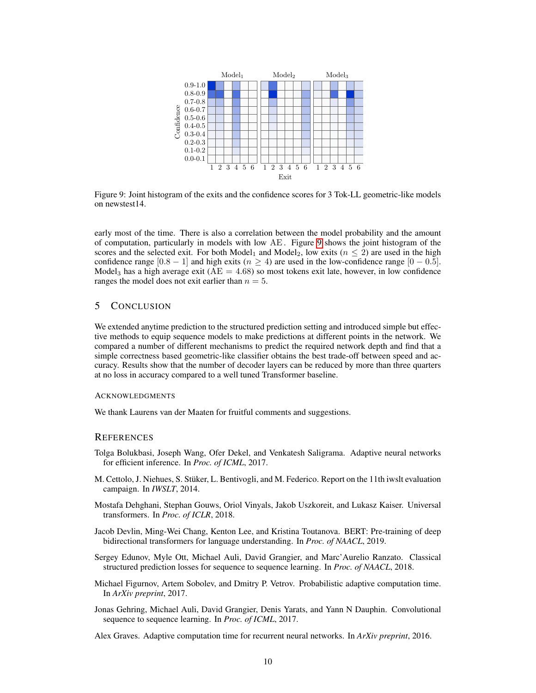<span id="page-9-7"></span>

Figure 9: Joint histogram of the exits and the confidence scores for 3 Tok-LL geometric-like models on newstest14.

early most of the time. There is also a correlation between the model probability and the amount of computation, particularly in models with low AE. Figure [9](#page-9-7) shows the joint histogram of the scores and the selected exit. For both Model<sub>1</sub> and Model<sub>2</sub>, low exits ( $n \leq 2$ ) are used in the high confidence range  $[0.8 - 1]$  and high exits  $(n \ge 4)$  are used in the low-confidence range  $[0 - 0.5]$ . Model<sub>3</sub> has a high average exit ( $AE = 4.68$ ) so most tokens exit late, however, in low confidence ranges the model does not exit earlier than  $n = 5$ .

## 5 CONCLUSION

We extended anytime prediction to the structured prediction setting and introduced simple but effective methods to equip sequence models to make predictions at different points in the network. We compared a number of different mechanisms to predict the required network depth and find that a simple correctness based geometric-like classifier obtains the best trade-off between speed and accuracy. Results show that the number of decoder layers can be reduced by more than three quarters at no loss in accuracy compared to a well tuned Transformer baseline.

## **ACKNOWLEDGMENTS**

We thank Laurens van der Maaten for fruitful comments and suggestions.

## **REFERENCES**

- <span id="page-9-3"></span>Tolga Bolukbasi, Joseph Wang, Ofer Dekel, and Venkatesh Saligrama. Adaptive neural networks for efficient inference. In *Proc. of ICML*, 2017.
- <span id="page-9-5"></span>M. Cettolo, J. Niehues, S. Stüker, L. Bentivogli, and M. Federico. Report on the 11th iwslt evaluation campaign. In *IWSLT*, 2014.
- <span id="page-9-2"></span>Mostafa Dehghani, Stephan Gouws, Oriol Vinyals, Jakob Uszkoreit, and Lukasz Kaiser. Universal transformers. In *Proc. of ICLR*, 2018.
- <span id="page-9-1"></span>Jacob Devlin, Ming-Wei Chang, Kenton Lee, and Kristina Toutanova. BERT: Pre-training of deep bidirectional transformers for language understanding. In *Proc. of NAACL*, 2019.
- <span id="page-9-6"></span>Sergey Edunov, Myle Ott, Michael Auli, David Grangier, and Marc'Aurelio Ranzato. Classical structured prediction losses for sequence to sequence learning. In *Proc. of NAACL*, 2018.
- <span id="page-9-4"></span>Michael Figurnov, Artem Sobolev, and Dmitry P. Vetrov. Probabilistic adaptive computation time. In *ArXiv preprint*, 2017.
- <span id="page-9-0"></span>Jonas Gehring, Michael Auli, David Grangier, Denis Yarats, and Yann N Dauphin. Convolutional sequence to sequence learning. In *Proc. of ICML*, 2017.

Alex Graves. Adaptive computation time for recurrent neural networks. In *ArXiv preprint*, 2016.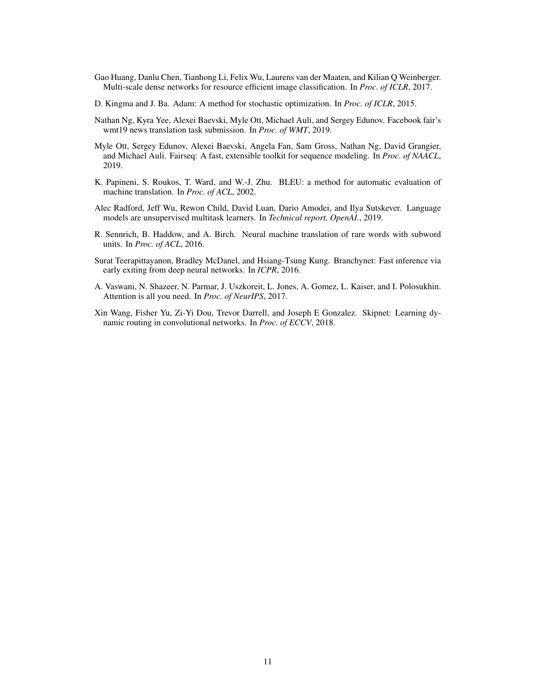- <span id="page-10-3"></span>Gao Huang, Danlu Chen, Tianhong Li, Felix Wu, Laurens van der Maaten, and Kilian Q Weinberger. Multi-scale dense networks for resource efficient image classification. In *Proc. of ICLR*, 2017.
- <span id="page-10-9"></span>D. Kingma and J. Ba. Adam: A method for stochastic optimization. In *Proc. of ICLR*, 2015.
- <span id="page-10-2"></span>Nathan Ng, Kyra Yee, Alexei Baevski, Myle Ott, Michael Auli, and Sergey Edunov. Facebook fair's wmt19 news translation task submission. In *Proc. of WMT*, 2019.
- <span id="page-10-8"></span>Myle Ott, Sergey Edunov, Alexei Baevski, Angela Fan, Sam Gross, Nathan Ng, David Grangier, and Michael Auli. Fairseq: A fast, extensible toolkit for sequence modeling. In *Proc. of NAACL*, 2019.
- <span id="page-10-6"></span>K. Papineni, S. Roukos, T. Ward, and W.-J. Zhu. BLEU: a method for automatic evaluation of machine translation. In *Proc. of ACL*, 2002.
- <span id="page-10-1"></span>Alec Radford, Jeff Wu, Rewon Child, David Luan, Dario Amodei, and Ilya Sutskever. Language models are unsupervised multitask learners. In *Technical report, OpenAI.*, 2019.
- <span id="page-10-7"></span>R. Sennrich, B. Haddow, and A. Birch. Neural machine translation of rare words with subword units. In *Proc. of ACL*, 2016.
- <span id="page-10-4"></span>Surat Teerapittayanon, Bradley McDanel, and Hsiang-Tsung Kung. Branchynet: Fast inference via early exiting from deep neural networks. In *ICPR*, 2016.
- <span id="page-10-0"></span>A. Vaswani, N. Shazeer, N. Parmar, J. Uszkoreit, L. Jones, A. Gomez, L. Kaiser, and I. Polosukhin. Attention is all you need. In *Proc. of NeurIPS*, 2017.
- <span id="page-10-5"></span>Xin Wang, Fisher Yu, Zi-Yi Dou, Trevor Darrell, and Joseph E Gonzalez. Skipnet: Learning dynamic routing in convolutional networks. In *Proc. of ECCV*, 2018.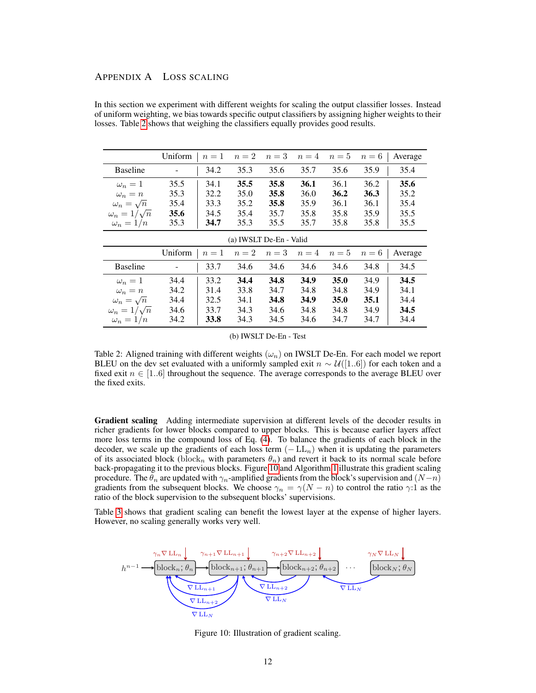## <span id="page-11-0"></span>APPENDIX A LOSS SCALING

<span id="page-11-1"></span>

|                         | Uniform                 | $n=1$ | $n=2$ | $n=3$ | $n=4$ | $n=5$ | $n=6$ | Average |
|-------------------------|-------------------------|-------|-------|-------|-------|-------|-------|---------|
|                         |                         |       |       |       |       |       |       |         |
| <b>Baseline</b>         |                         | 34.2  | 35.3  | 35.6  | 35.7  | 35.6  | 35.9  | 35.4    |
| $\omega_n=1$            | 35.5                    | 34.1  | 35.5  | 35.8  | 36.1  | 36.1  | 36.2  | 35.6    |
| $\omega_n = n$          | 35.3                    | 32.2  | 35.0  | 35.8  | 36.0  | 36.2  | 36.3  | 35.2    |
| $\omega_n = \sqrt{n}$   | 35.4                    | 33.3  | 35.2  | 35.8  | 35.9  | 36.1  | 36.1  | 35.4    |
| $\omega_n = 1/\sqrt{n}$ | 35.6                    | 34.5  | 35.4  | 35.7  | 35.8  | 35.8  | 35.9  | 35.5    |
| $\omega_n=1/n$          | 35.3                    | 34.7  | 35.3  | 35.5  | 35.7  | 35.8  | 35.8  | 35.5    |
|                         | (a) IWSLT De-En - Valid |       |       |       |       |       |       |         |
|                         | Uniform                 | $n=1$ | $n=2$ | $n=3$ | $n=4$ | $n=5$ | $n=6$ | Average |
| <b>Baseline</b>         |                         | 33.7  | 34.6  | 34.6  | 34.6  | 34.6  | 34.8  | 34.5    |
| $\omega_n=1$            | 34.4                    | 33.2  | 34.4  | 34.8  | 34.9  | 35.0  | 34.9  | 34.5    |
| $\omega_n = n$          | 34.2                    | 31.4  | 33.8  | 34.7  | 34.8  | 34.8  | 34.9  | 34.1    |
| $\omega_n = \sqrt{n}$   | 34.4                    | 32.5  | 34.1  | 34.8  | 34.9  | 35.0  | 35.1  | 34.4    |
| $\omega_n = 1/\sqrt{n}$ | 34.6                    | 33.7  | 34.3  | 34.6  | 34.8  | 34.8  | 34.9  | 34.5    |
| $\omega_n=1/n$          | 34.2                    | 33.8  | 34.3  | 34.5  | 34.6  | 34.7  | 34.7  | 34.4    |

In this section we experiment with different weights for scaling the output classifier losses. Instead of uniform weighting, we bias towards specific output classifiers by assigning higher weights to their losses. Table [2](#page-11-1) shows that weighing the classifiers equally provides good results.

|  | (b) IWSLT De-En - Test |  |  |  |
|--|------------------------|--|--|--|
|--|------------------------|--|--|--|

Table 2: Aligned training with different weights  $(\omega_n)$  on IWSLT De-En. For each model we report BLEU on the dev set evaluated with a uniformly sampled exit  $n \sim \mathcal{U}([1..6])$  for each token and a fixed exit  $n \in [1..6]$  throughout the sequence. The average corresponds to the average BLEU over the fixed exits.

Gradient scaling Adding intermediate supervision at different levels of the decoder results in richer gradients for lower blocks compared to upper blocks. This is because earlier layers affect more loss terms in the compound loss of Eq. [\(4\)](#page-2-2). To balance the gradients of each block in the decoder, we scale up the gradients of each loss term  $(-LL_n)$  when it is updating the parameters of its associated block (block<sub>n</sub> with parameters  $\theta_n$ ) and revert it back to its normal scale before back-propagating it to the previous blocks. Figure [10](#page-11-2) and Algorithm [1](#page-12-0) illustrate this gradient scaling procedure. The  $\theta_n$  are updated with  $\gamma_n$ -amplified gradients from the block's supervision and  $(N-n)$ gradients from the subsequent blocks. We choose  $\gamma_n = \gamma(N - n)$  to control the ratio  $\gamma$ :1 as the ratio of the block supervision to the subsequent blocks' supervisions.

Table [3](#page-12-1) shows that gradient scaling can benefit the lowest layer at the expense of higher layers. However, no scaling generally works very well.

<span id="page-11-2"></span>

Figure 10: Illustration of gradient scaling.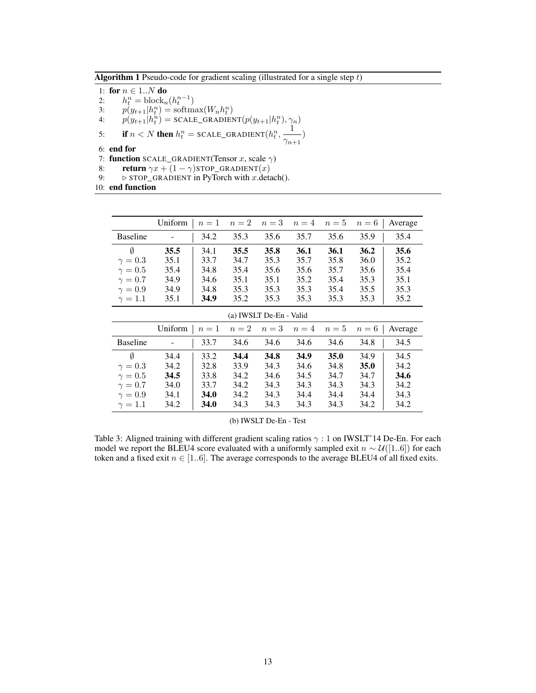<span id="page-12-0"></span>**Algorithm 1** Pseudo-code for gradient scaling (illustrated for a single step  $t$ )

1: for  $n \in 1..N$  do<br>2:  $h_t^n = \text{block}_n$ 

2:  $h_t^n = \text{block}_n(h_t^{n-1})$ 

3:  $p(y_{t+1}|h_t^n) = \text{softmax}(W_n h_t^n)$ 

4:  $p(y_{t+1}|h_t^n) = \text{scale\_GRADIENT}(p(y_{t+1}|h_t^n), \gamma_n)$ 

5: **if**  $n < N$  **then**  $h_t^n = \text{SCALE\_GRADIENT}(h_t^n, \frac{1}{\alpha})$  $\frac{1}{\gamma_{n+1}})$ 

6: end for

7: function SCALE\_GRADIENT(Tensor x, scale  $\gamma$ )

- 8: **return**  $\gamma x + (1 \gamma)$ STOP\_GRADIENT $(x)$
- 9:  $\triangleright$  STOP\_GRADIENT in PyTorch with *x*.detach().

10: end function

<span id="page-12-1"></span>

|                 | Uniform                 | $n=1$       | $n=2$ | $n=3$ | $n=4$ | $n=5$ | $n=6$       | Average |
|-----------------|-------------------------|-------------|-------|-------|-------|-------|-------------|---------|
| <b>Baseline</b> |                         | 34.2        | 35.3  | 35.6  | 35.7  | 35.6  | 35.9        | 35.4    |
| Ø               | 35.5                    | 34.1        | 35.5  | 35.8  | 36.1  | 36.1  | 36.2        | 35.6    |
| $\gamma=0.3$    | 35.1                    | 33.7        | 34.7  | 35.3  | 35.7  | 35.8  | 36.0        | 35.2    |
| $\gamma=0.5$    | 35.4                    | 34.8        | 35.4  | 35.6  | 35.6  | 35.7  | 35.6        | 35.4    |
| $\gamma=0.7$    | 34.9                    | 34.6        | 35.1  | 35.1  | 35.2  | 35.4  | 35.3        | 35.1    |
| $\gamma=0.9$    | 34.9                    | 34.8        | 35.3  | 35.3  | 35.3  | 35.4  | 35.5        | 35.3    |
| $\gamma=1.1$    | 35.1                    | 34.9        | 35.2  | 35.3  | 35.3  | 35.3  | 35.3        | 35.2    |
|                 | (a) IWSLT De-En - Valid |             |       |       |       |       |             |         |
|                 | Uniform                 | $n=1$       | $n=2$ | $n=3$ | $n=4$ | $n=5$ | $n=6$       | Average |
| <b>Baseline</b> |                         | 33.7        | 34.6  | 34.6  | 34.6  | 34.6  | 34.8        | 34.5    |
| Ø               | 34.4                    | 33.2        | 34.4  | 34.8  | 34.9  | 35.0  | 34.9        | 34.5    |
| $\gamma=0.3$    | 34.2                    | 32.8        | 33.9  | 34.3  | 34.6  | 34.8  | <b>35.0</b> | 34.2    |
| $\gamma=0.5$    | 34.5                    | 33.8        | 34.2  | 34.6  | 34.5  | 34.7  | 34.7        | 34.6    |
| $\gamma=0.7$    | 34.0                    | 33.7        | 34.2  | 34.3  | 34.3  | 34.3  | 34.3        | 34.2    |
| $\gamma=0.9$    | 34.1                    | <b>34.0</b> | 34.2  | 34.3  | 34.4  | 34.4  | 34.4        | 34.3    |
| $\gamma=1.1$    | 34.2                    | 34.0        | 34.3  | 34.3  | 34.3  | 34.3  | 34.2        | 34.2    |

#### (b) IWSLT De-En - Test

Table 3: Aligned training with different gradient scaling ratios  $\gamma$  : 1 on IWSLT'14 De-En. For each model we report the BLEU4 score evaluated with a uniformly sampled exit  $n \sim \mathcal{U}([1..6])$  for each token and a fixed exit  $n \in [1..6]$ . The average corresponds to the average BLEU4 of all fixed exits.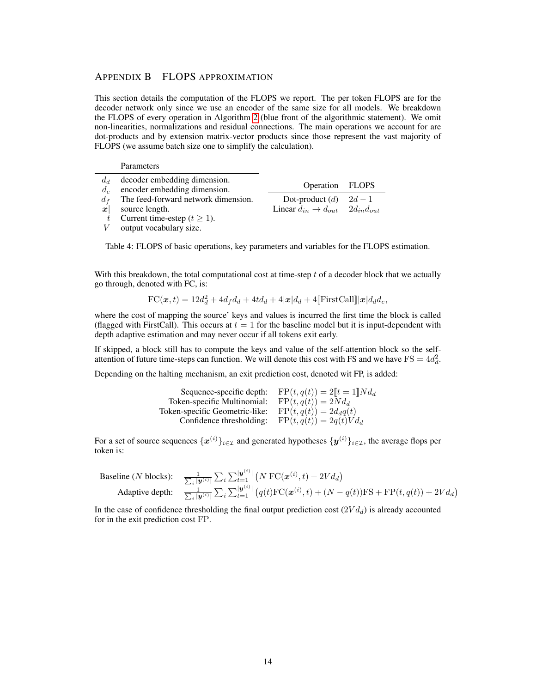## <span id="page-13-0"></span>APPENDIX B FLOPS APPROXIMATION

This section details the computation of the FLOPS we report. The per token FLOPS are for the decoder network only since we use an encoder of the same size for all models. We breakdown the FLOPS of every operation in Algorithm [2](#page-14-0) (blue front of the algorithmic statement). We omit non-linearities, normalizations and residual connections. The main operations we account for are dot-products and by extension matrix-vector products since those represent the vast majority of FLOPS (we assume batch size one to simplify the calculation).

#### **Parameters**

| $d_d$<br>$d_e$ | decoder embedding dimension.<br>encoder embedding dimension. | Operation FLOPS                                                                  |  |
|----------------|--------------------------------------------------------------|----------------------------------------------------------------------------------|--|
| $d_f$<br> x    | The feed-forward network dimension.<br>source length.        | Dot-product $(d)$ $2d-1$<br>Linear $d_{in} \rightarrow d_{out}$ $2d_{in}d_{out}$ |  |
|                | Current time-estep ( $t \ge 1$ ).                            |                                                                                  |  |
|                | $V$ output vocabulary size.                                  |                                                                                  |  |

Table 4: FLOPS of basic operations, key parameters and variables for the FLOPS estimation.

With this breakdown, the total computational cost at time-step  $t$  of a decoder block that we actually go through, denoted with FC, is:

$$
\text{FC}(\boldsymbol{x},t) = 12d_d^2 + 4d_f d_d + 4td_d + 4|\boldsymbol{x}|d_d + 4[\text{FirstCall}]\|\boldsymbol{x}|d_d d_e,
$$

where the cost of mapping the source' keys and values is incurred the first time the block is called (flagged with FirstCall). This occurs at  $t = 1$  for the baseline model but it is input-dependent with depth adaptive estimation and may never occur if all tokens exit early.

If skipped, a block still has to compute the keys and value of the self-attention block so the selfattention of future time-steps can function. We will denote this cost with FS and we have  $FS = 4d_d^2$ .

Depending on the halting mechanism, an exit prediction cost, denoted wit FP, is added:

| Sequence-specific depth:       | $FP(t, q(t)) = 2[t = 1]N d_d$ |
|--------------------------------|-------------------------------|
| Token-specific Multinomial:    | $FP(t,q(t)) = 2Nd_d$          |
| Token-specific Geometric-like: | $FP(t,q(t)) = 2d_dq(t)$       |
| Confidence thresholding:       | $FP(t, q(t)) = 2q(t)Vd_d$     |

For a set of source sequences  $\{x^{(i)}\}_{i\in\mathcal{I}}$  and generated hypotheses  $\{y^{(i)}\}_{i\in\mathcal{I}}$ , the average flops per token is:

\n Baseline (N blocks): \n 
$$
\frac{1}{\sum_i |\mathbf{y}^{(i)}|} \sum_i \sum_{t=1}^{|\mathbf{y}^{(i)}|} \left( N \, \text{FC}(\mathbf{x}^{(i)}, t) + 2V d_d \right)
$$
\n

\n\n Adaptive depth: \n  $\frac{1}{\sum_i |\mathbf{y}^{(i)}|} \sum_i \sum_{t=1}^{|\mathbf{y}^{(i)}|} \left( q(t) \, \text{FC}(\mathbf{x}^{(i)}, t) + (N - q(t)) \, \text{FS} + \text{FP}(t, q(t)) + 2V d_d \right)$ \n

In the case of confidence thresholding the final output prediction cost  $(2V d_d)$  is already accounted for in the exit prediction cost FP.